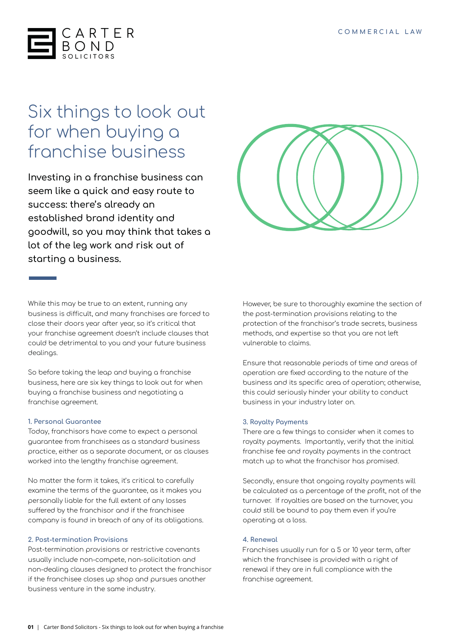

# Six things to look out for when buying a franchise business

**Investing in a franchise business can seem like a quick and easy route to success: there's already an established brand identity and goodwill, so you may think that takes a lot of the leg work and risk out of starting a business.**



While this may be true to an extent, running any business is difficult, and many franchises are forced to close their doors year after year, so it's critical that your franchise agreement doesn't include clauses that could be detrimental to you and your future business dealings.

So before taking the leap and buying a franchise business, here are six key things to look out for when buying a franchise business and negotiating a franchise agreement.

## **1. Personal Guarantee**

Today, franchisors have come to expect a personal guarantee from franchisees as a standard business practice, either as a separate document, or as clauses worked into the lengthy franchise agreement.

No matter the form it takes, it's critical to carefully examine the terms of the guarantee, as it makes you personally liable for the full extent of any losses suffered by the franchisor and if the franchisee company is found in breach of any of its obligations.

## **2. Post-termination Provisions**

Post-termination provisions or restrictive covenants usually include non-compete, non-solicitation and non-dealing clauses designed to protect the franchisor if the franchisee closes up shop and pursues another business venture in the same industry.

However, be sure to thoroughly examine the section of the post-termination provisions relating to the protection of the franchisor's trade secrets, business methods, and expertise so that you are not left vulnerable to claims.

Ensure that reasonable periods of time and areas of operation are fixed according to the nature of the business and its specific area of operation; otherwise, this could seriously hinder your ability to conduct business in your industry later on.

#### **3. Royalty Payments**

There are a few things to consider when it comes to royalty payments. Importantly, verify that the initial franchise fee and royalty payments in the contract match up to what the franchisor has promised.

Secondly, ensure that ongoing royalty payments will be calculated as a percentage of the profit, not of the turnover. If royalties are based on the turnover, you could still be bound to pay them even if you're operating at a loss.

#### **4. Renewal**

Franchises usually run for a 5 or 10 year term, after which the franchisee is provided with a right of renewal if they are in full compliance with the franchise agreement.